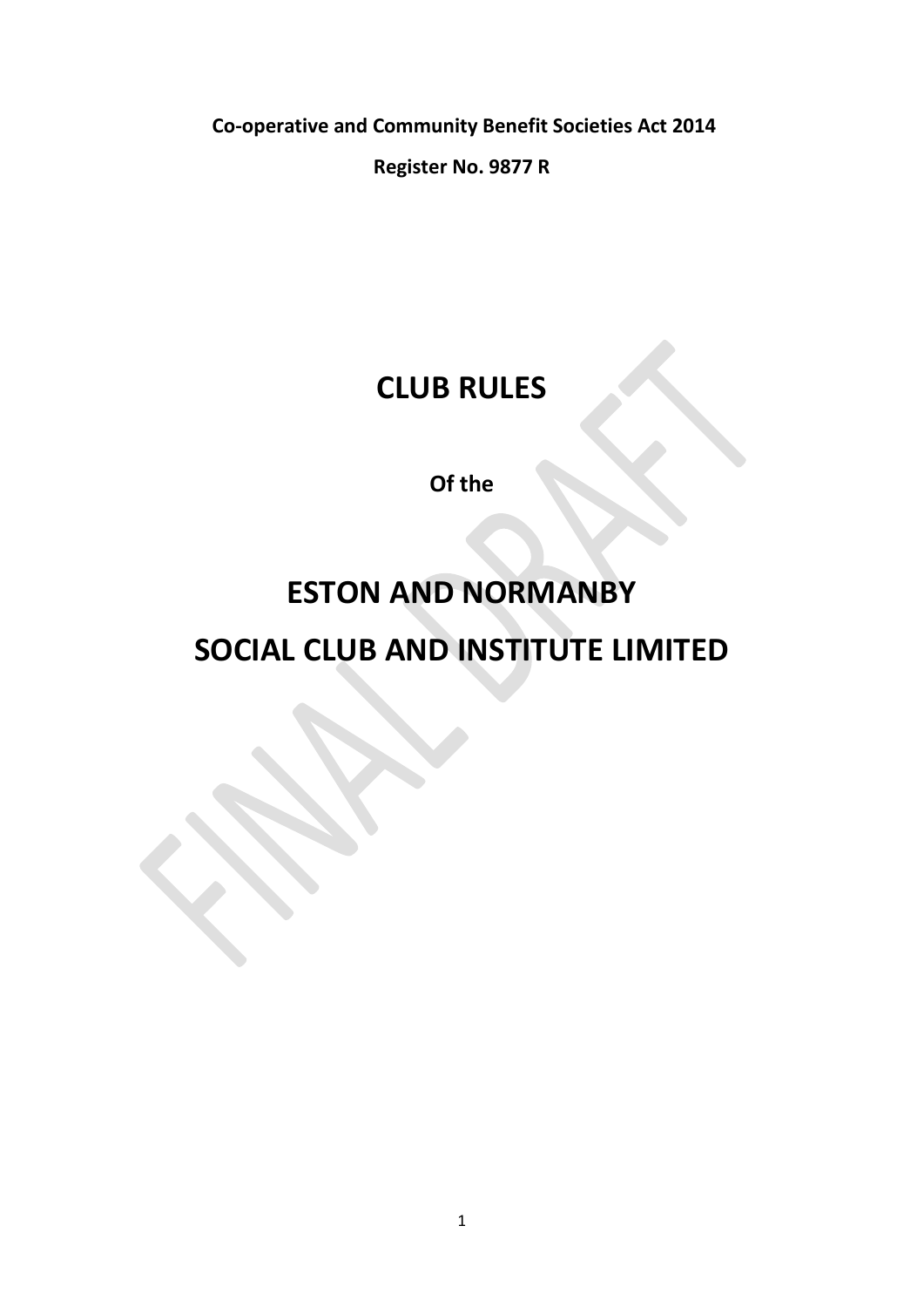**Co-operative and Community Benefit Societies Act 2014**

**Register No. 9877 R**

# **CLUB RULES**

**Of the** 

# **ESTON AND NORMANBY SOCIAL CLUB AND INSTITUTE LIMITED**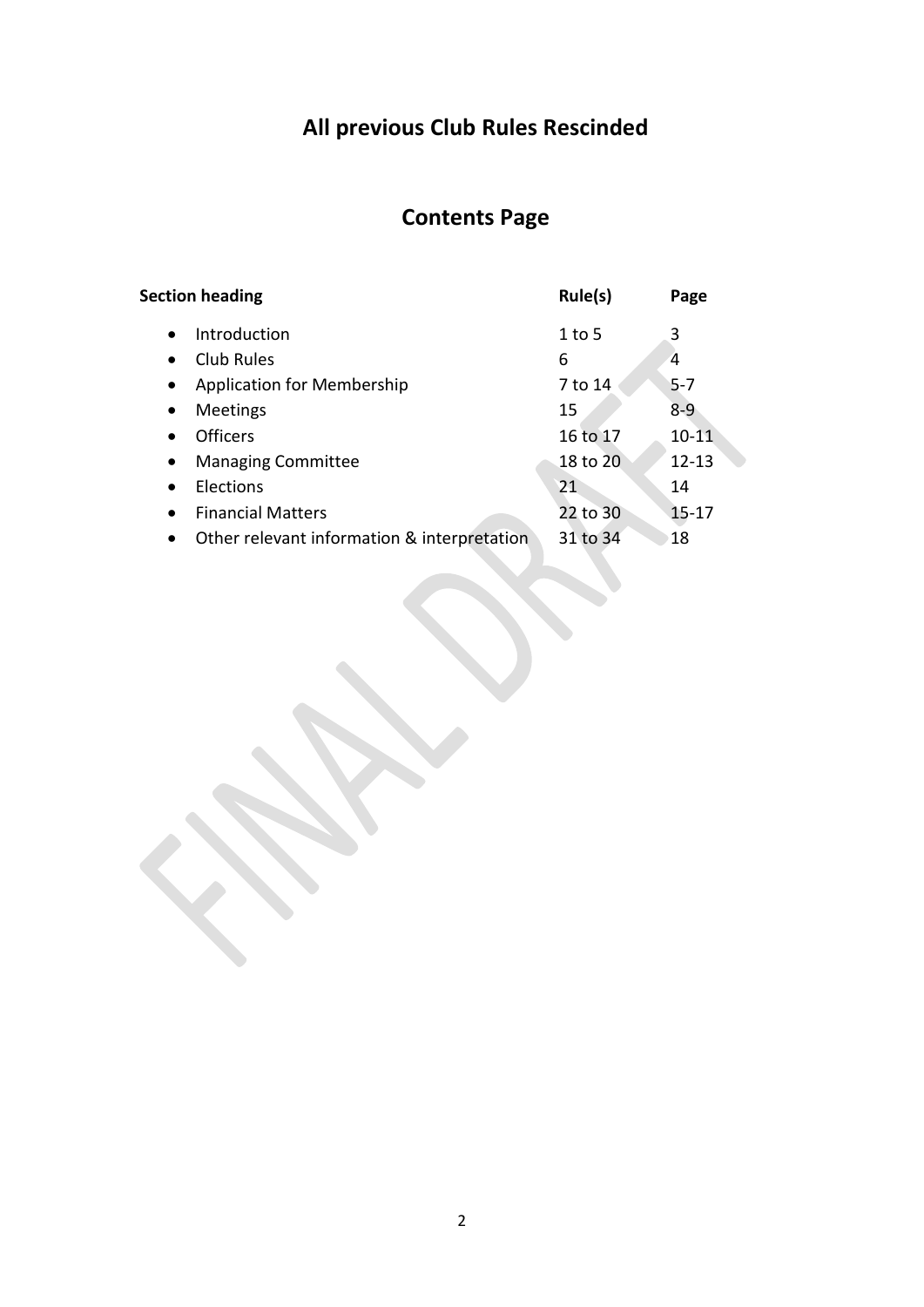# **All previous Club Rules Rescinded**

## **Contents Page**

| <b>Section heading</b>                                   | Rule(s)  | Page      |  |
|----------------------------------------------------------|----------|-----------|--|
| Introduction<br>$\bullet$                                | $1$ to 5 | 3         |  |
| Club Rules<br>$\bullet$                                  | 6        | 4         |  |
| Application for Membership<br>$\bullet$                  | 7 to 14  | $5-7$     |  |
| <b>Meetings</b><br>$\bullet$                             | 15       | $8 - 9$   |  |
| <b>Officers</b><br>$\bullet$                             | 16 to 17 | $10 - 11$ |  |
| <b>Managing Committee</b><br>$\bullet$                   | 18 to 20 | $12 - 13$ |  |
| Elections<br>$\bullet$                                   | 21       | 14        |  |
| <b>Financial Matters</b><br>$\bullet$                    | 22 to 30 | $15 - 17$ |  |
| Other relevant information & interpretation<br>$\bullet$ | 31 to 34 | 18        |  |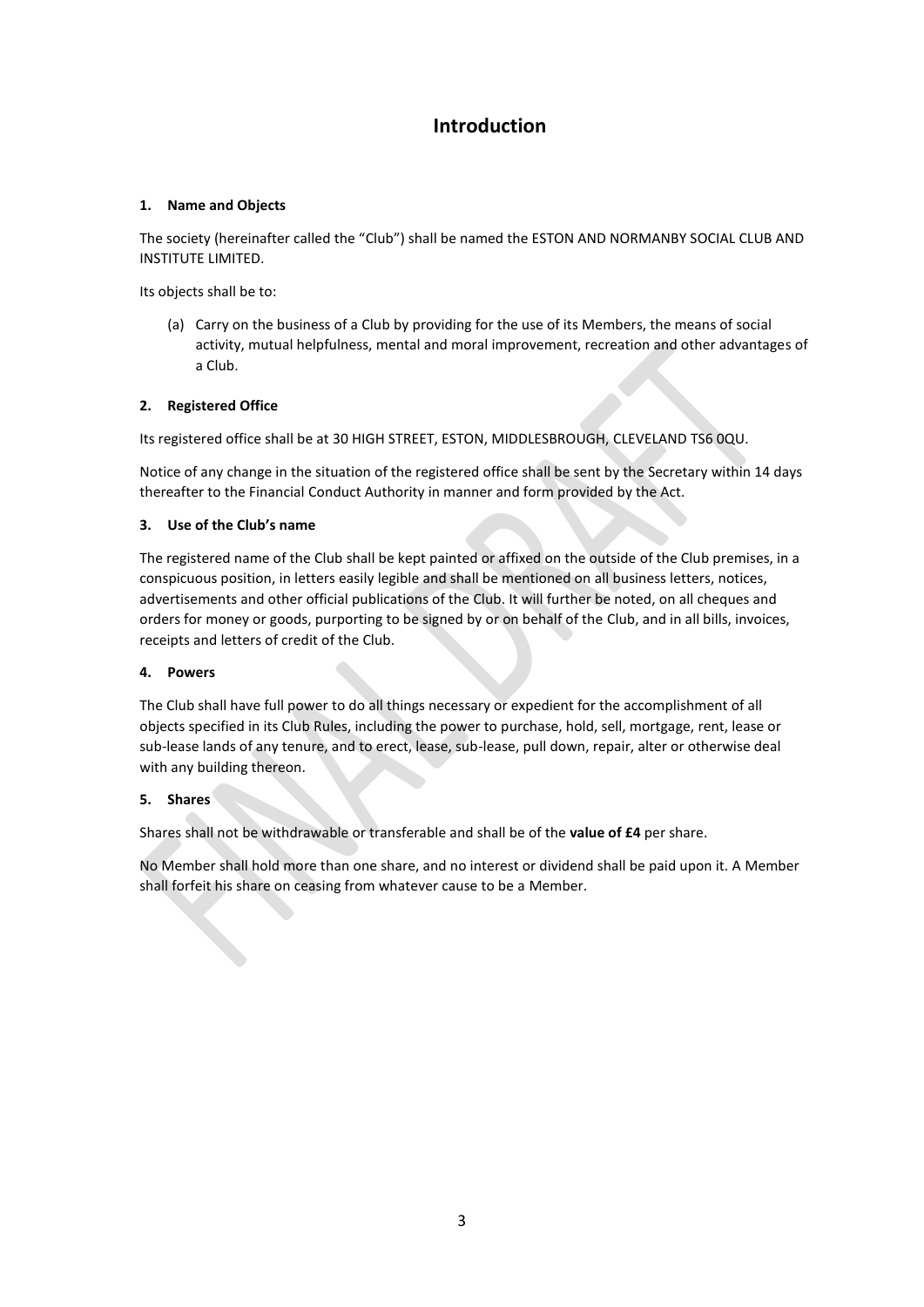### **Introduction**

### **1. Name and Objects**

The society (hereinafter called the "Club") shall be named the ESTON AND NORMANBY SOCIAL CLUB AND INSTITUTE LIMITED.

Its objects shall be to:

(a) Carry on the business of a Club by providing for the use of its Members, the means of social activity, mutual helpfulness, mental and moral improvement, recreation and other advantages of a Club.

### **2. Registered Office**

Its registered office shall be at 30 HIGH STREET, ESTON, MIDDLESBROUGH, CLEVELAND TS6 0QU.

Notice of any change in the situation of the registered office shall be sent by the Secretary within 14 days thereafter to the Financial Conduct Authority in manner and form provided by the Act.

### **3. Use of the Club's name**

The registered name of the Club shall be kept painted or affixed on the outside of the Club premises, in a conspicuous position, in letters easily legible and shall be mentioned on all business letters, notices, advertisements and other official publications of the Club. It will further be noted, on all cheques and orders for money or goods, purporting to be signed by or on behalf of the Club, and in all bills, invoices, receipts and letters of credit of the Club.

### **4. Powers**

The Club shall have full power to do all things necessary or expedient for the accomplishment of all objects specified in its Club Rules, including the power to purchase, hold, sell, mortgage, rent, lease or sub-lease lands of any tenure, and to erect, lease, sub-lease, pull down, repair, alter or otherwise deal with any building thereon.

### **5. Shares**

Shares shall not be withdrawable or transferable and shall be of the **value of £4** per share.

No Member shall hold more than one share, and no interest or dividend shall be paid upon it. A Member shall forfeit his share on ceasing from whatever cause to be a Member.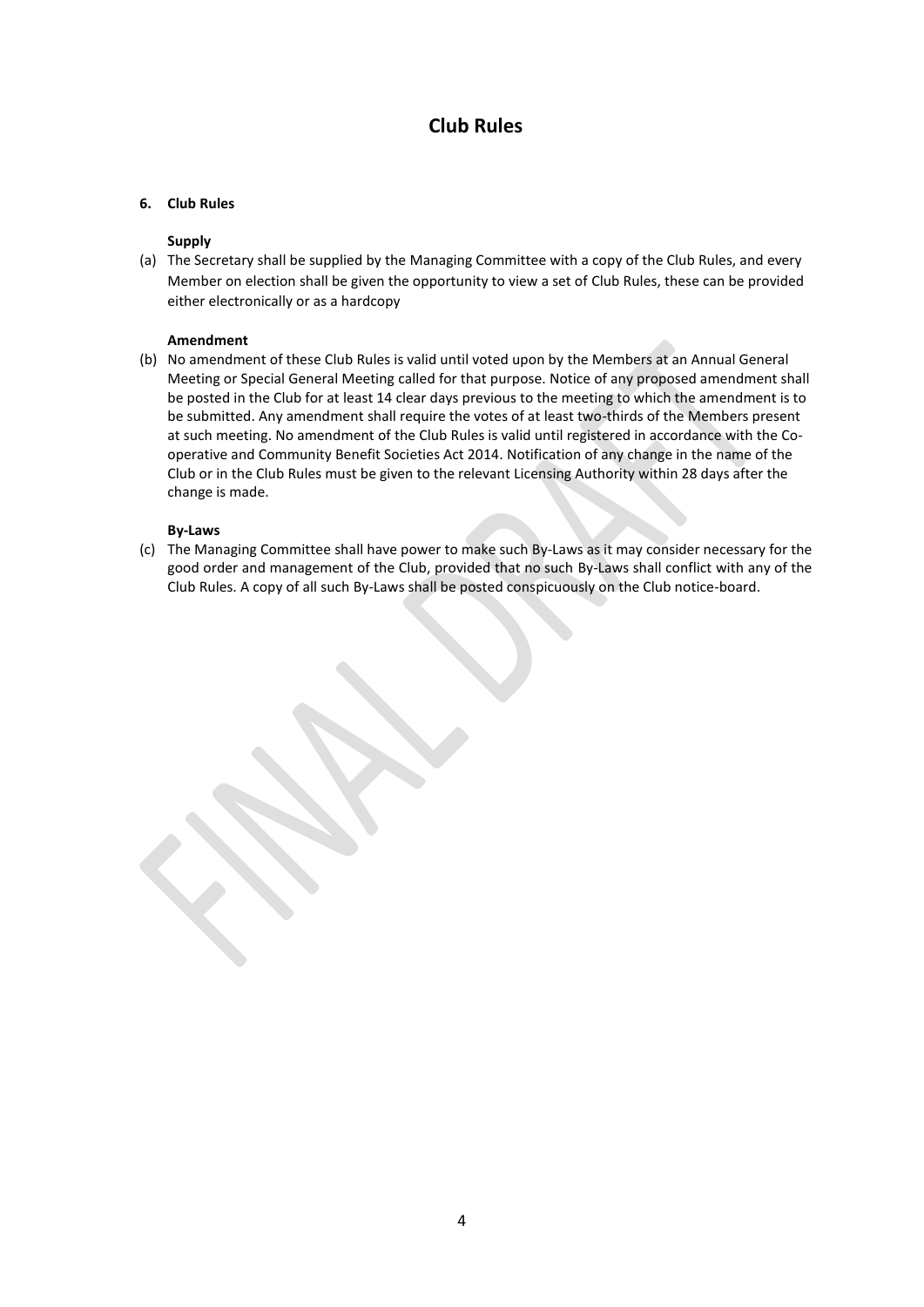### **Club Rules**

### **6. Club Rules**

### **Supply**

(a) The Secretary shall be supplied by the Managing Committee with a copy of the Club Rules, and every Member on election shall be given the opportunity to view a set of Club Rules, these can be provided either electronically or as a hardcopy

### **Amendment**

(b) No amendment of these Club Rules is valid until voted upon by the Members at an Annual General Meeting or Special General Meeting called for that purpose. Notice of any proposed amendment shall be posted in the Club for at least 14 clear days previous to the meeting to which the amendment is to be submitted. Any amendment shall require the votes of at least two-thirds of the Members present at such meeting. No amendment of the Club Rules is valid until registered in accordance with the Cooperative and Community Benefit Societies Act 2014. Notification of any change in the name of the Club or in the Club Rules must be given to the relevant Licensing Authority within 28 days after the change is made.

### **By-Laws**

(c) The Managing Committee shall have power to make such By-Laws as it may consider necessary for the good order and management of the Club, provided that no such By-Laws shall conflict with any of the Club Rules. A copy of all such By-Laws shall be posted conspicuously on the Club notice-board.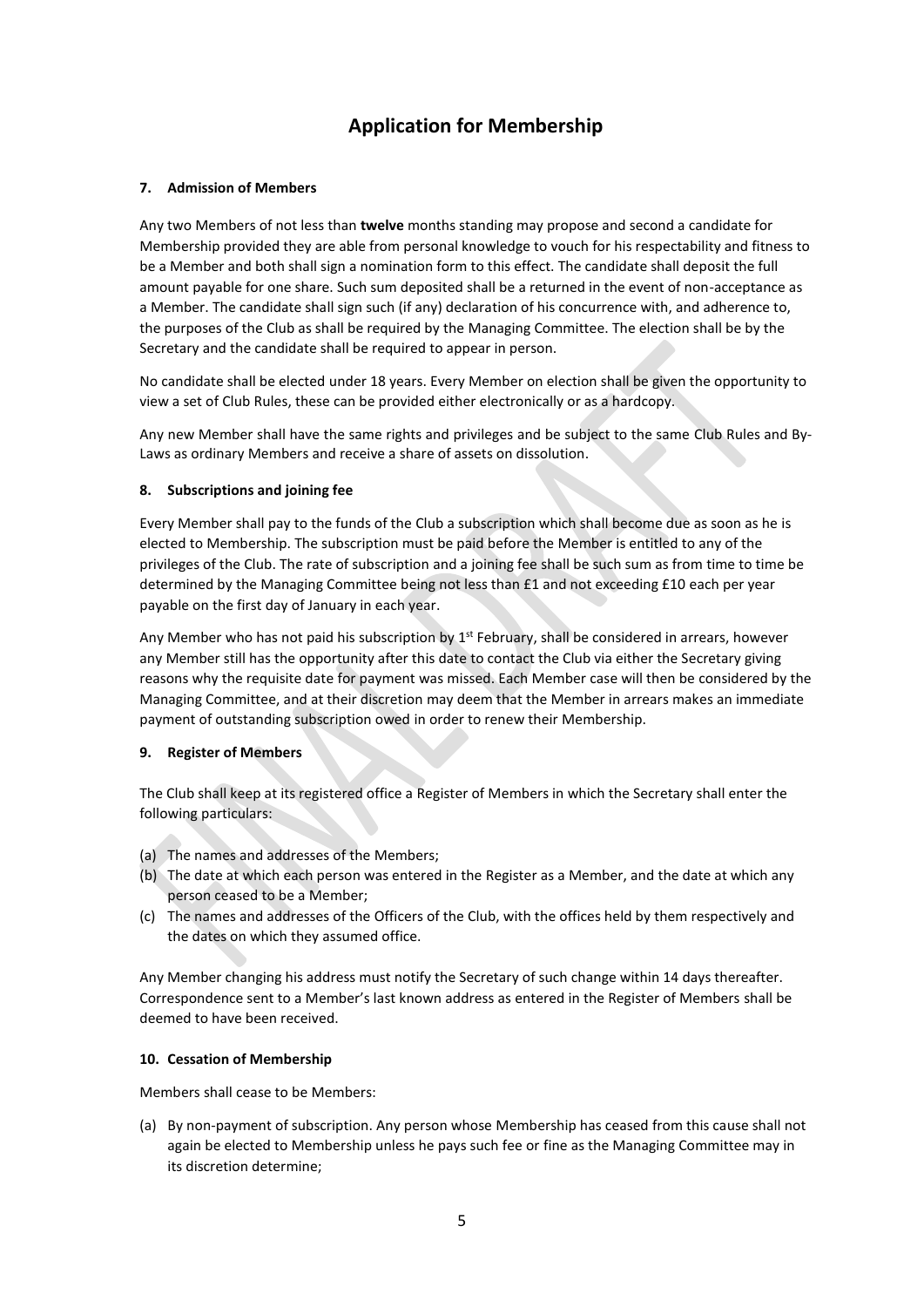### **Application for Membership**

### **7. Admission of Members**

Any two Members of not less than **twelve** months standing may propose and second a candidate for Membership provided they are able from personal knowledge to vouch for his respectability and fitness to be a Member and both shall sign a nomination form to this effect. The candidate shall deposit the full amount payable for one share. Such sum deposited shall be a returned in the event of non-acceptance as a Member. The candidate shall sign such (if any) declaration of his concurrence with, and adherence to, the purposes of the Club as shall be required by the Managing Committee. The election shall be by the Secretary and the candidate shall be required to appear in person.

No candidate shall be elected under 18 years. Every Member on election shall be given the opportunity to view a set of Club Rules, these can be provided either electronically or as a hardcopy.

Any new Member shall have the same rights and privileges and be subject to the same Club Rules and By-Laws as ordinary Members and receive a share of assets on dissolution.

### **8. Subscriptions and joining fee**

Every Member shall pay to the funds of the Club a subscription which shall become due as soon as he is elected to Membership. The subscription must be paid before the Member is entitled to any of the privileges of the Club. The rate of subscription and a joining fee shall be such sum as from time to time be determined by the Managing Committee being not less than £1 and not exceeding £10 each per year payable on the first day of January in each year.

Any Member who has not paid his subscription by  $1<sup>st</sup>$  February, shall be considered in arrears, however any Member still has the opportunity after this date to contact the Club via either the Secretary giving reasons why the requisite date for payment was missed. Each Member case will then be considered by the Managing Committee, and at their discretion may deem that the Member in arrears makes an immediate payment of outstanding subscription owed in order to renew their Membership.

### **9. Register of Members**

The Club shall keep at its registered office a Register of Members in which the Secretary shall enter the following particulars:

- (a) The names and addresses of the Members;
- (b) The date at which each person was entered in the Register as a Member, and the date at which any person ceased to be a Member;
- (c) The names and addresses of the Officers of the Club, with the offices held by them respectively and the dates on which they assumed office.

Any Member changing his address must notify the Secretary of such change within 14 days thereafter. Correspondence sent to a Member's last known address as entered in the Register of Members shall be deemed to have been received.

### **10. Cessation of Membership**

Members shall cease to be Members:

(a) By non-payment of subscription. Any person whose Membership has ceased from this cause shall not again be elected to Membership unless he pays such fee or fine as the Managing Committee may in its discretion determine;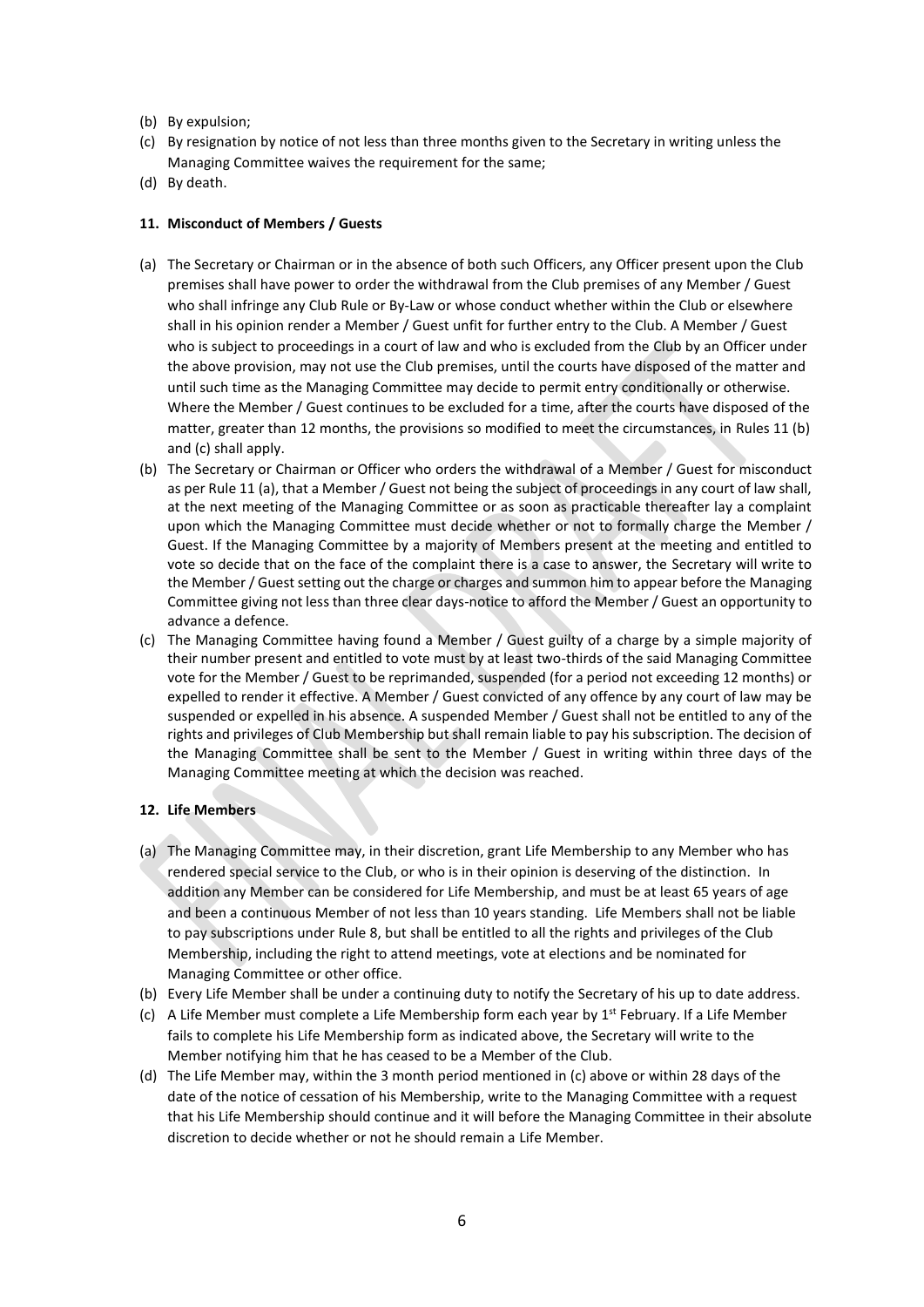- (b) By expulsion;
- (c) By resignation by notice of not less than three months given to the Secretary in writing unless the Managing Committee waives the requirement for the same;
- (d) By death.

#### **11. Misconduct of Members / Guests**

- (a) The Secretary or Chairman or in the absence of both such Officers, any Officer present upon the Club premises shall have power to order the withdrawal from the Club premises of any Member / Guest who shall infringe any Club Rule or By-Law or whose conduct whether within the Club or elsewhere shall in his opinion render a Member / Guest unfit for further entry to the Club. A Member / Guest who is subject to proceedings in a court of law and who is excluded from the Club by an Officer under the above provision, may not use the Club premises, until the courts have disposed of the matter and until such time as the Managing Committee may decide to permit entry conditionally or otherwise. Where the Member / Guest continues to be excluded for a time, after the courts have disposed of the matter, greater than 12 months, the provisions so modified to meet the circumstances, in Rules 11 (b) and (c) shall apply.
- (b) The Secretary or Chairman or Officer who orders the withdrawal of a Member / Guest for misconduct as per Rule 11 (a), that a Member / Guest not being the subject of proceedings in any court of law shall, at the next meeting of the Managing Committee or as soon as practicable thereafter lay a complaint upon which the Managing Committee must decide whether or not to formally charge the Member / Guest. If the Managing Committee by a majority of Members present at the meeting and entitled to vote so decide that on the face of the complaint there is a case to answer, the Secretary will write to the Member / Guest setting out the charge or charges and summon him to appear before the Managing Committee giving not less than three clear days-notice to afford the Member / Guest an opportunity to advance a defence.
- (c) The Managing Committee having found a Member / Guest guilty of a charge by a simple majority of their number present and entitled to vote must by at least two-thirds of the said Managing Committee vote for the Member / Guest to be reprimanded, suspended (for a period not exceeding 12 months) or expelled to render it effective. A Member / Guest convicted of any offence by any court of law may be suspended or expelled in his absence. A suspended Member / Guest shall not be entitled to any of the rights and privileges of Club Membership but shall remain liable to pay his subscription. The decision of the Managing Committee shall be sent to the Member / Guest in writing within three days of the Managing Committee meeting at which the decision was reached.

#### **12. Life Members**

- (a) The Managing Committee may, in their discretion, grant Life Membership to any Member who has rendered special service to the Club, or who is in their opinion is deserving of the distinction. In addition any Member can be considered for Life Membership, and must be at least 65 years of age and been a continuous Member of not less than 10 years standing. Life Members shall not be liable to pay subscriptions under Rule 8, but shall be entitled to all the rights and privileges of the Club Membership, including the right to attend meetings, vote at elections and be nominated for Managing Committee or other office.
- (b) Every Life Member shall be under a continuing duty to notify the Secretary of his up to date address.
- (c) A Life Member must complete a Life Membership form each year by  $1<sup>st</sup>$  February. If a Life Member fails to complete his Life Membership form as indicated above, the Secretary will write to the Member notifying him that he has ceased to be a Member of the Club.
- (d) The Life Member may, within the 3 month period mentioned in (c) above or within 28 days of the date of the notice of cessation of his Membership, write to the Managing Committee with a request that his Life Membership should continue and it will before the Managing Committee in their absolute discretion to decide whether or not he should remain a Life Member.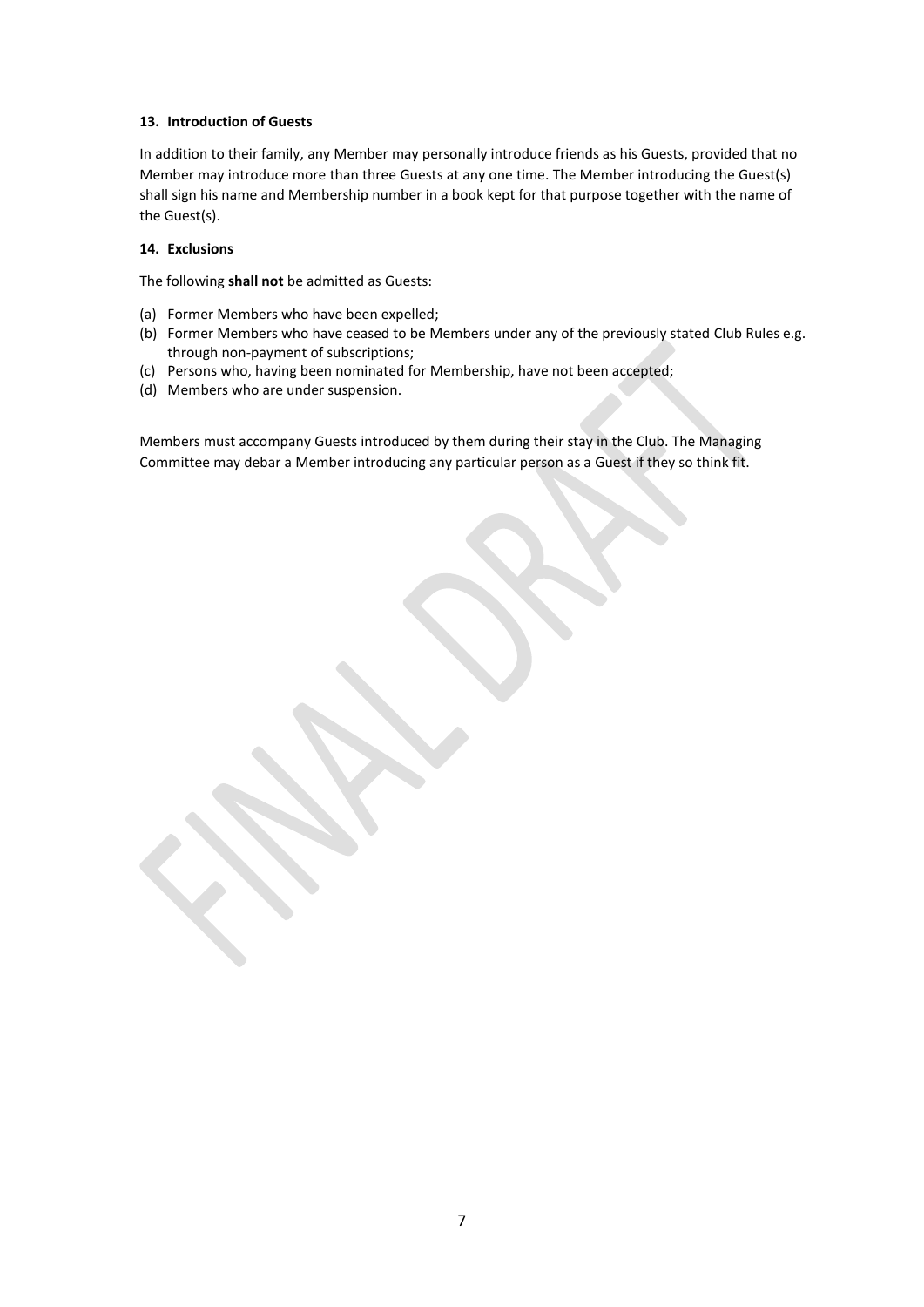### **13. Introduction of Guests**

In addition to their family, any Member may personally introduce friends as his Guests, provided that no Member may introduce more than three Guests at any one time. The Member introducing the Guest(s) shall sign his name and Membership number in a book kept for that purpose together with the name of the Guest(s).

### **14. Exclusions**

The following **shall not** be admitted as Guests:

- (a) Former Members who have been expelled;
- (b) Former Members who have ceased to be Members under any of the previously stated Club Rules e.g. through non-payment of subscriptions;
- (c) Persons who, having been nominated for Membership, have not been accepted;
- (d) Members who are under suspension.

Members must accompany Guests introduced by them during their stay in the Club. The Managing Committee may debar a Member introducing any particular person as a Guest if they so think fit.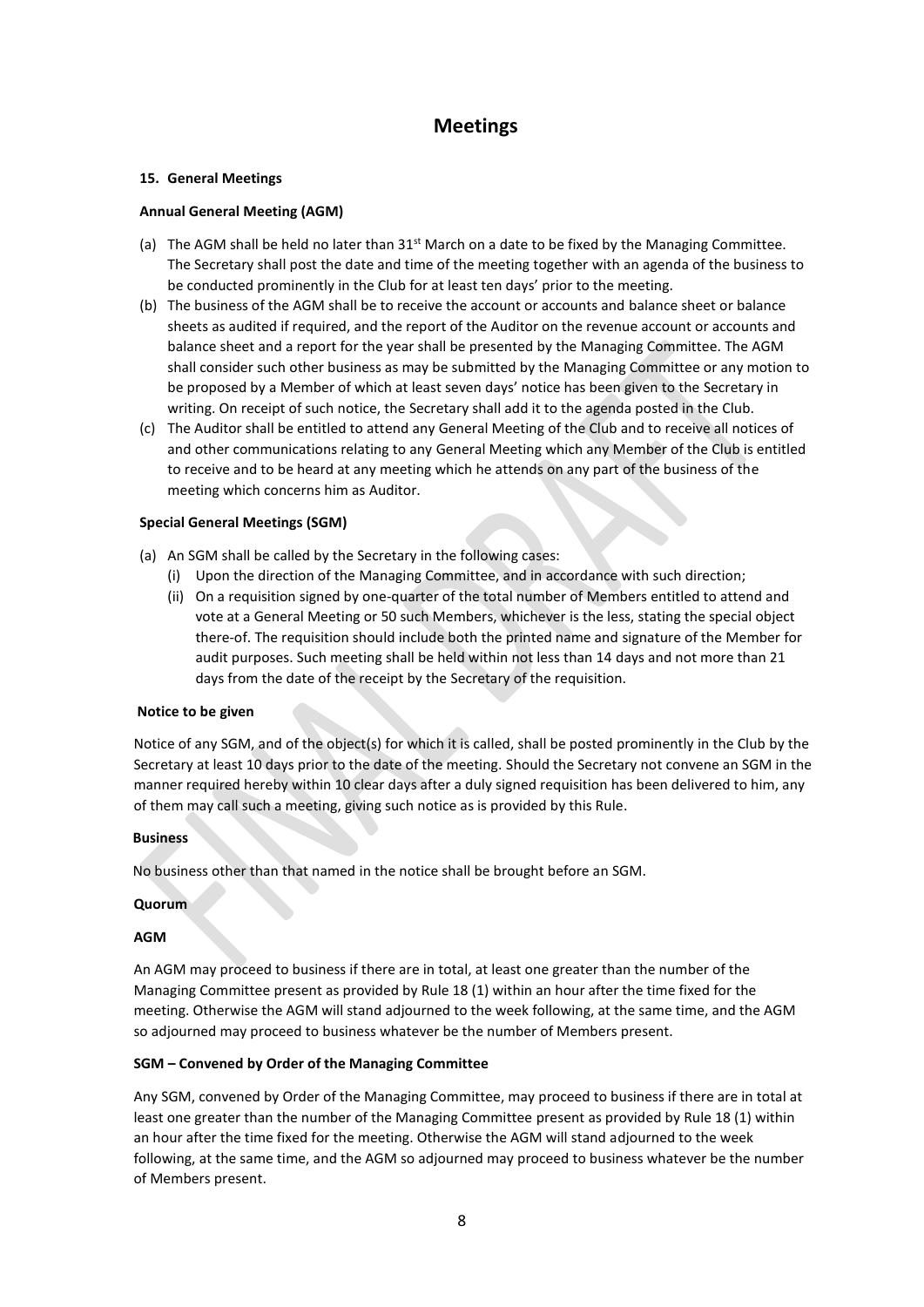### **Meetings**

### **15. General Meetings**

### **Annual General Meeting (AGM)**

- (a) The AGM shall be held no later than  $31<sup>st</sup>$  March on a date to be fixed by the Managing Committee. The Secretary shall post the date and time of the meeting together with an agenda of the business to be conducted prominently in the Club for at least ten days' prior to the meeting.
- (b) The business of the AGM shall be to receive the account or accounts and balance sheet or balance sheets as audited if required, and the report of the Auditor on the revenue account or accounts and balance sheet and a report for the year shall be presented by the Managing Committee. The AGM shall consider such other business as may be submitted by the Managing Committee or any motion to be proposed by a Member of which at least seven days' notice has been given to the Secretary in writing. On receipt of such notice, the Secretary shall add it to the agenda posted in the Club.
- (c) The Auditor shall be entitled to attend any General Meeting of the Club and to receive all notices of and other communications relating to any General Meeting which any Member of the Club is entitled to receive and to be heard at any meeting which he attends on any part of the business of the meeting which concerns him as Auditor.

### **Special General Meetings (SGM)**

- (a) An SGM shall be called by the Secretary in the following cases:
	- (i) Upon the direction of the Managing Committee, and in accordance with such direction;
	- (ii) On a requisition signed by one-quarter of the total number of Members entitled to attend and vote at a General Meeting or 50 such Members, whichever is the less, stating the special object there-of. The requisition should include both the printed name and signature of the Member for audit purposes. Such meeting shall be held within not less than 14 days and not more than 21 days from the date of the receipt by the Secretary of the requisition.

### **Notice to be given**

Notice of any SGM, and of the object(s) for which it is called, shall be posted prominently in the Club by the Secretary at least 10 days prior to the date of the meeting. Should the Secretary not convene an SGM in the manner required hereby within 10 clear days after a duly signed requisition has been delivered to him, any of them may call such a meeting, giving such notice as is provided by this Rule.

### **Business**

No business other than that named in the notice shall be brought before an SGM.

### **Quorum**

### **AGM**

An AGM may proceed to business if there are in total, at least one greater than the number of the Managing Committee present as provided by Rule 18 (1) within an hour after the time fixed for the meeting. Otherwise the AGM will stand adjourned to the week following, at the same time, and the AGM so adjourned may proceed to business whatever be the number of Members present.

### **SGM – Convened by Order of the Managing Committee**

Any SGM, convened by Order of the Managing Committee, may proceed to business if there are in total at least one greater than the number of the Managing Committee present as provided by Rule 18 (1) within an hour after the time fixed for the meeting. Otherwise the AGM will stand adjourned to the week following, at the same time, and the AGM so adjourned may proceed to business whatever be the number of Members present.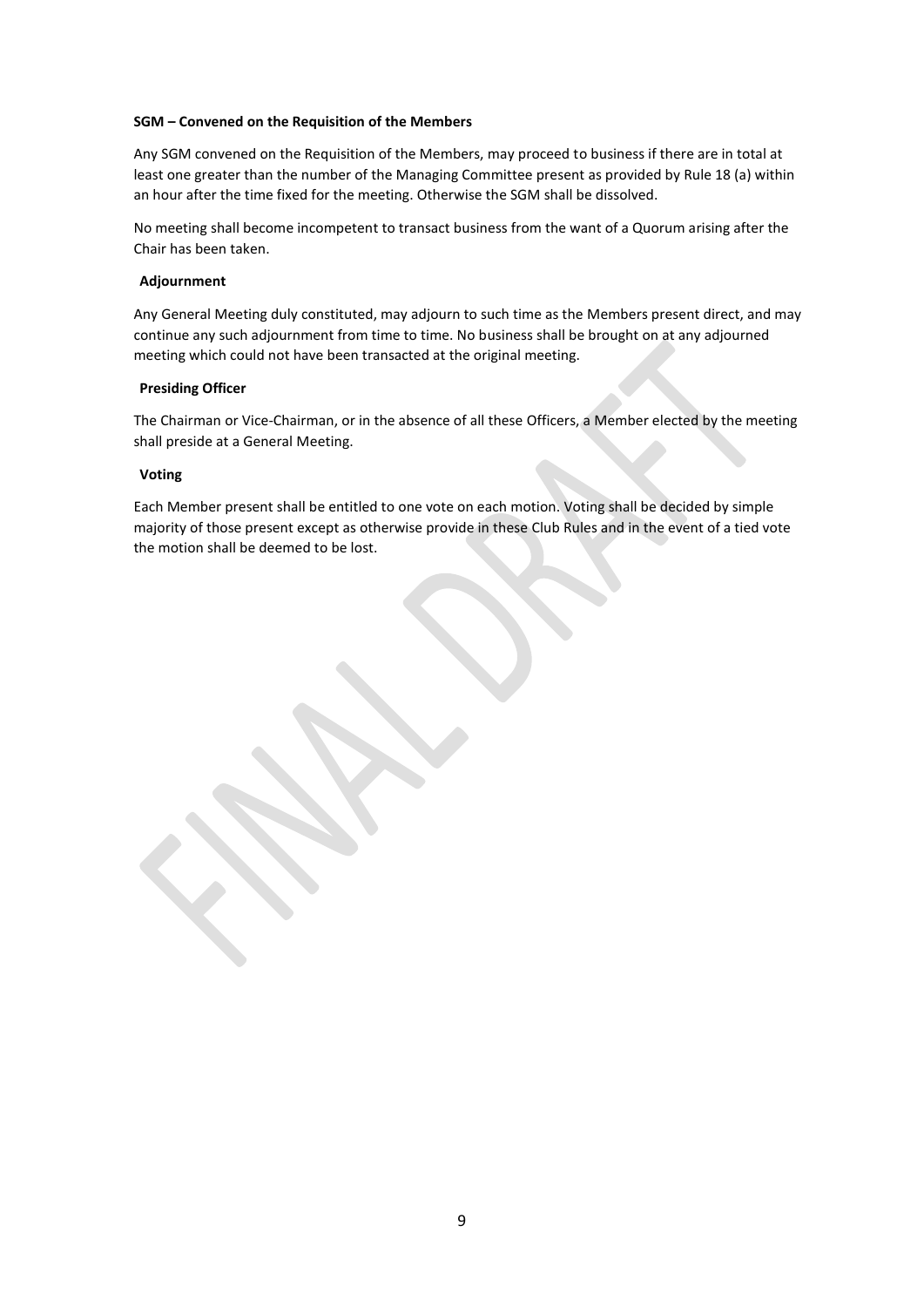### **SGM – Convened on the Requisition of the Members**

Any SGM convened on the Requisition of the Members, may proceed to business if there are in total at least one greater than the number of the Managing Committee present as provided by Rule 18 (a) within an hour after the time fixed for the meeting. Otherwise the SGM shall be dissolved.

No meeting shall become incompetent to transact business from the want of a Quorum arising after the Chair has been taken.

### **Adjournment**

Any General Meeting duly constituted, may adjourn to such time as the Members present direct, and may continue any such adjournment from time to time. No business shall be brought on at any adjourned meeting which could not have been transacted at the original meeting.

### **Presiding Officer**

The Chairman or Vice-Chairman, or in the absence of all these Officers, a Member elected by the meeting shall preside at a General Meeting.

### **Voting**

Each Member present shall be entitled to one vote on each motion. Voting shall be decided by simple majority of those present except as otherwise provide in these Club Rules and in the event of a tied vote the motion shall be deemed to be lost.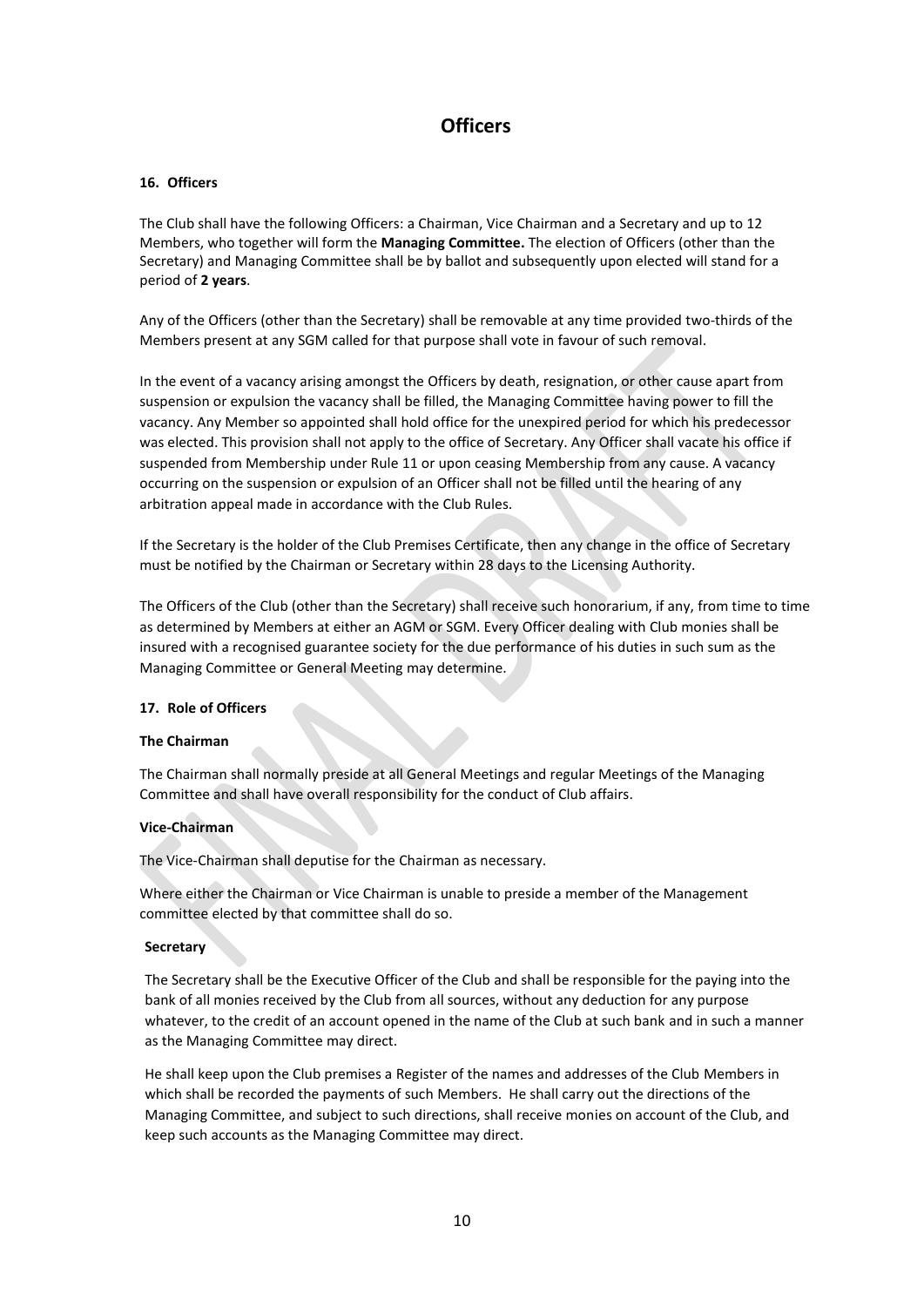### **Officers**

### **16. Officers**

The Club shall have the following Officers: a Chairman, Vice Chairman and a Secretary and up to 12 Members, who together will form the **Managing Committee.** The election of Officers (other than the Secretary) and Managing Committee shall be by ballot and subsequently upon elected will stand for a period of **2 years**.

Any of the Officers (other than the Secretary) shall be removable at any time provided two-thirds of the Members present at any SGM called for that purpose shall vote in favour of such removal.

In the event of a vacancy arising amongst the Officers by death, resignation, or other cause apart from suspension or expulsion the vacancy shall be filled, the Managing Committee having power to fill the vacancy. Any Member so appointed shall hold office for the unexpired period for which his predecessor was elected. This provision shall not apply to the office of Secretary. Any Officer shall vacate his office if suspended from Membership under Rule 11 or upon ceasing Membership from any cause. A vacancy occurring on the suspension or expulsion of an Officer shall not be filled until the hearing of any arbitration appeal made in accordance with the Club Rules.

If the Secretary is the holder of the Club Premises Certificate, then any change in the office of Secretary must be notified by the Chairman or Secretary within 28 days to the Licensing Authority.

The Officers of the Club (other than the Secretary) shall receive such honorarium, if any, from time to time as determined by Members at either an AGM or SGM. Every Officer dealing with Club monies shall be insured with a recognised guarantee society for the due performance of his duties in such sum as the Managing Committee or General Meeting may determine.

#### **17. Role of Officers**

### **The Chairman**

The Chairman shall normally preside at all General Meetings and regular Meetings of the Managing Committee and shall have overall responsibility for the conduct of Club affairs.

#### **Vice-Chairman**

The Vice-Chairman shall deputise for the Chairman as necessary.

Where either the Chairman or Vice Chairman is unable to preside a member of the Management committee elected by that committee shall do so.

#### **Secretary**

The Secretary shall be the Executive Officer of the Club and shall be responsible for the paying into the bank of all monies received by the Club from all sources, without any deduction for any purpose whatever, to the credit of an account opened in the name of the Club at such bank and in such a manner as the Managing Committee may direct.

He shall keep upon the Club premises a Register of the names and addresses of the Club Members in which shall be recorded the payments of such Members. He shall carry out the directions of the Managing Committee, and subject to such directions, shall receive monies on account of the Club, and keep such accounts as the Managing Committee may direct.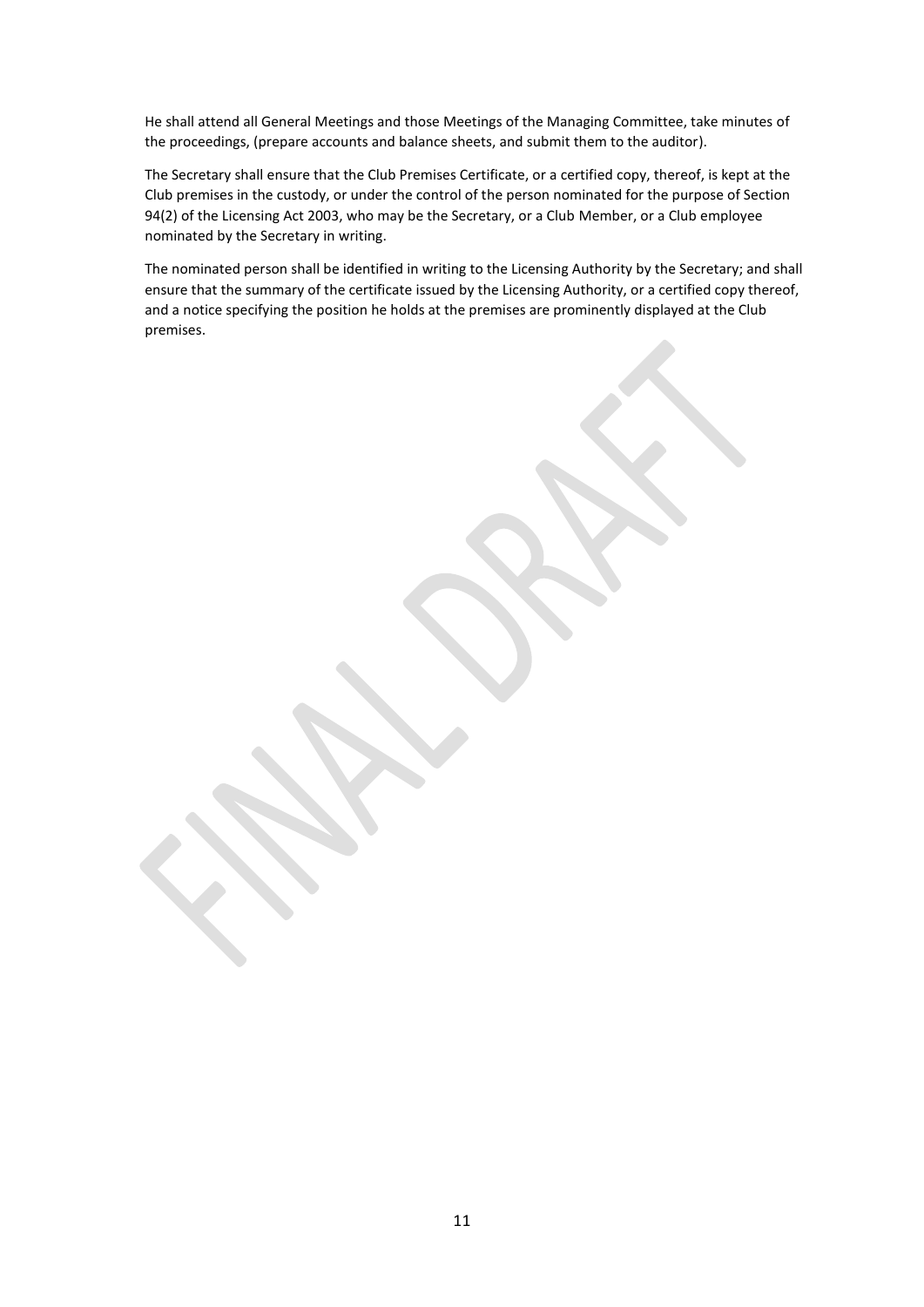He shall attend all General Meetings and those Meetings of the Managing Committee, take minutes of the proceedings, (prepare accounts and balance sheets, and submit them to the auditor).

The Secretary shall ensure that the Club Premises Certificate, or a certified copy, thereof, is kept at the Club premises in the custody, or under the control of the person nominated for the purpose of Section 94(2) of the Licensing Act 2003, who may be the Secretary, or a Club Member, or a Club employee nominated by the Secretary in writing.

The nominated person shall be identified in writing to the Licensing Authority by the Secretary; and shall ensure that the summary of the certificate issued by the Licensing Authority, or a certified copy thereof, and a notice specifying the position he holds at the premises are prominently displayed at the Club premises.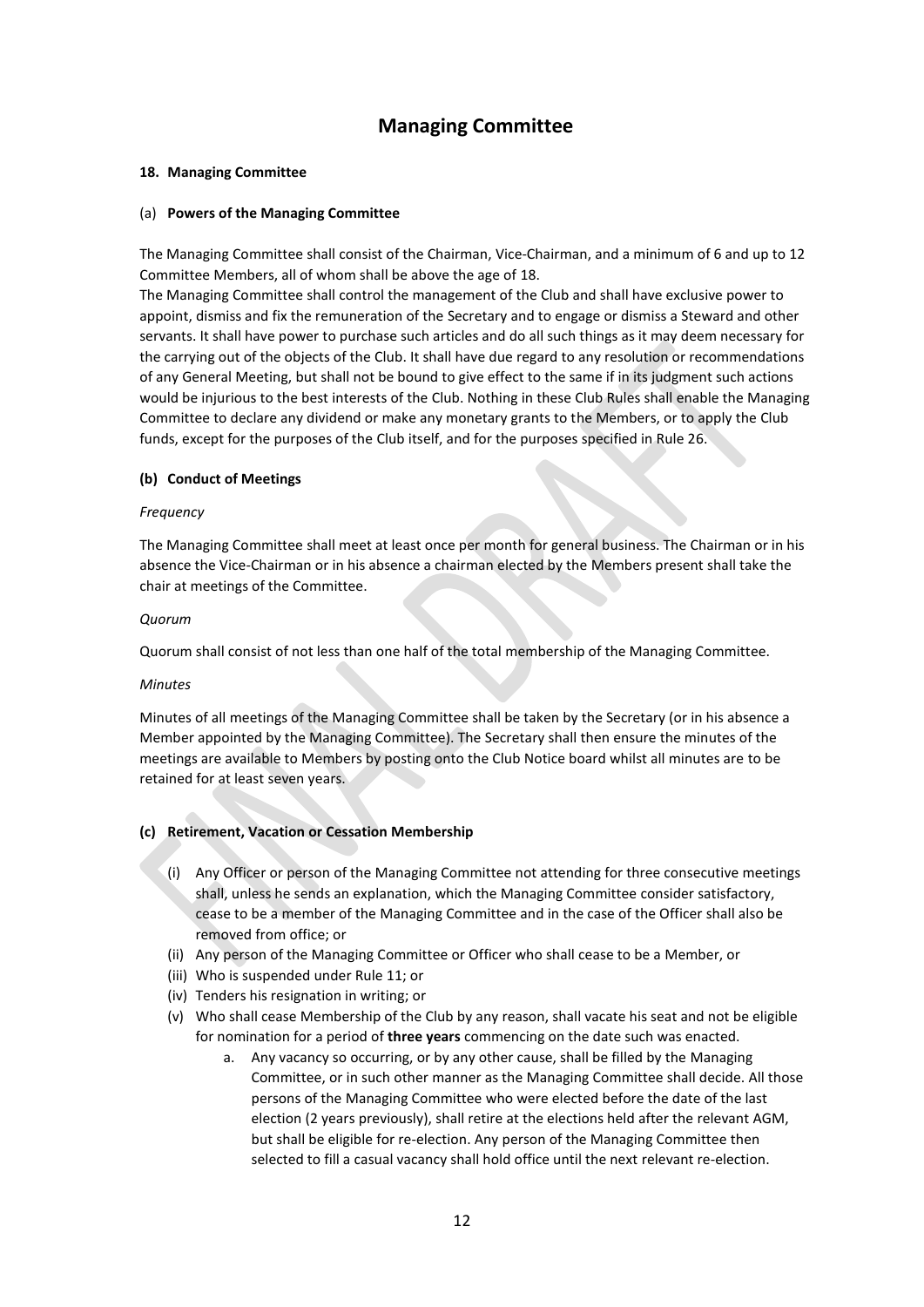### **Managing Committee**

### **18. Managing Committee**

### (a) **Powers of the Managing Committee**

The Managing Committee shall consist of the Chairman, Vice-Chairman, and a minimum of 6 and up to 12 Committee Members, all of whom shall be above the age of 18.

The Managing Committee shall control the management of the Club and shall have exclusive power to appoint, dismiss and fix the remuneration of the Secretary and to engage or dismiss a Steward and other servants. It shall have power to purchase such articles and do all such things as it may deem necessary for the carrying out of the objects of the Club. It shall have due regard to any resolution or recommendations of any General Meeting, but shall not be bound to give effect to the same if in its judgment such actions would be injurious to the best interests of the Club. Nothing in these Club Rules shall enable the Managing Committee to declare any dividend or make any monetary grants to the Members, or to apply the Club funds, except for the purposes of the Club itself, and for the purposes specified in Rule 26.

### **(b) Conduct of Meetings**

### *Frequency*

The Managing Committee shall meet at least once per month for general business. The Chairman or in his absence the Vice-Chairman or in his absence a chairman elected by the Members present shall take the chair at meetings of the Committee.

### *Quorum*

Quorum shall consist of not less than one half of the total membership of the Managing Committee.

### *Minutes*

Minutes of all meetings of the Managing Committee shall be taken by the Secretary (or in his absence a Member appointed by the Managing Committee). The Secretary shall then ensure the minutes of the meetings are available to Members by posting onto the Club Notice board whilst all minutes are to be retained for at least seven years.

### **(c) Retirement, Vacation or Cessation Membership**

- (i) Any Officer or person of the Managing Committee not attending for three consecutive meetings shall, unless he sends an explanation, which the Managing Committee consider satisfactory, cease to be a member of the Managing Committee and in the case of the Officer shall also be removed from office; or
- (ii) Any person of the Managing Committee or Officer who shall cease to be a Member, or
- (iii) Who is suspended under Rule 11; or
- (iv) Tenders his resignation in writing; or
- (v) Who shall cease Membership of the Club by any reason, shall vacate his seat and not be eligible for nomination for a period of **three years** commencing on the date such was enacted.
	- a. Any vacancy so occurring, or by any other cause, shall be filled by the Managing Committee, or in such other manner as the Managing Committee shall decide. All those persons of the Managing Committee who were elected before the date of the last election (2 years previously), shall retire at the elections held after the relevant AGM, but shall be eligible for re-election. Any person of the Managing Committee then selected to fill a casual vacancy shall hold office until the next relevant re-election.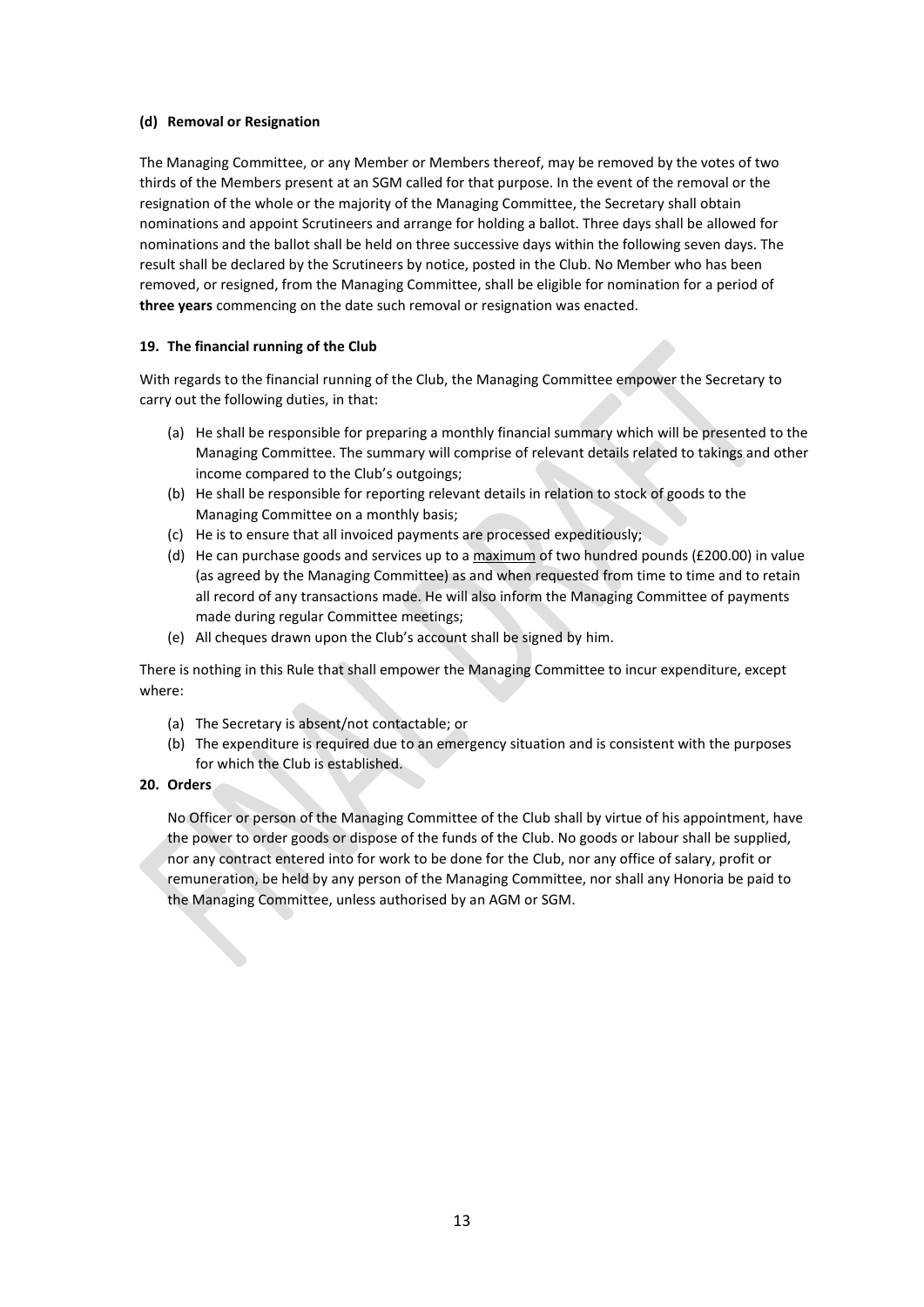### **(d) Removal or Resignation**

The Managing Committee, or any Member or Members thereof, may be removed by the votes of two thirds of the Members present at an SGM called for that purpose. In the event of the removal or the resignation of the whole or the majority of the Managing Committee, the Secretary shall obtain nominations and appoint Scrutineers and arrange for holding a ballot. Three days shall be allowed for nominations and the ballot shall be held on three successive days within the following seven days. The result shall be declared by the Scrutineers by notice, posted in the Club. No Member who has been removed, or resigned, from the Managing Committee, shall be eligible for nomination for a period of **three years** commencing on the date such removal or resignation was enacted.

### **19. The financial running of the Club**

With regards to the financial running of the Club, the Managing Committee empower the Secretary to carry out the following duties, in that:

- (a) He shall be responsible for preparing a monthly financial summary which will be presented to the Managing Committee. The summary will comprise of relevant details related to takings and other income compared to the Club's outgoings;
- (b) He shall be responsible for reporting relevant details in relation to stock of goods to the Managing Committee on a monthly basis;
- (c) He is to ensure that all invoiced payments are processed expeditiously;
- (d) He can purchase goods and services up to a  $maximum$  of two hundred pounds (£200.00) in value (as agreed by the Managing Committee) as and when requested from time to time and to retain all record of any transactions made. He will also inform the Managing Committee of payments made during regular Committee meetings;
- (e) All cheques drawn upon the Club's account shall be signed by him.

There is nothing in this Rule that shall empower the Managing Committee to incur expenditure, except where:

- (a) The Secretary is absent/not contactable; or
- (b) The expenditure is required due to an emergency situation and is consistent with the purposes for which the Club is established.
- **20. Orders**

No Officer or person of the Managing Committee of the Club shall by virtue of his appointment, have the power to order goods or dispose of the funds of the Club. No goods or labour shall be supplied, nor any contract entered into for work to be done for the Club, nor any office of salary, profit or remuneration, be held by any person of the Managing Committee, nor shall any Honoria be paid to the Managing Committee, unless authorised by an AGM or SGM.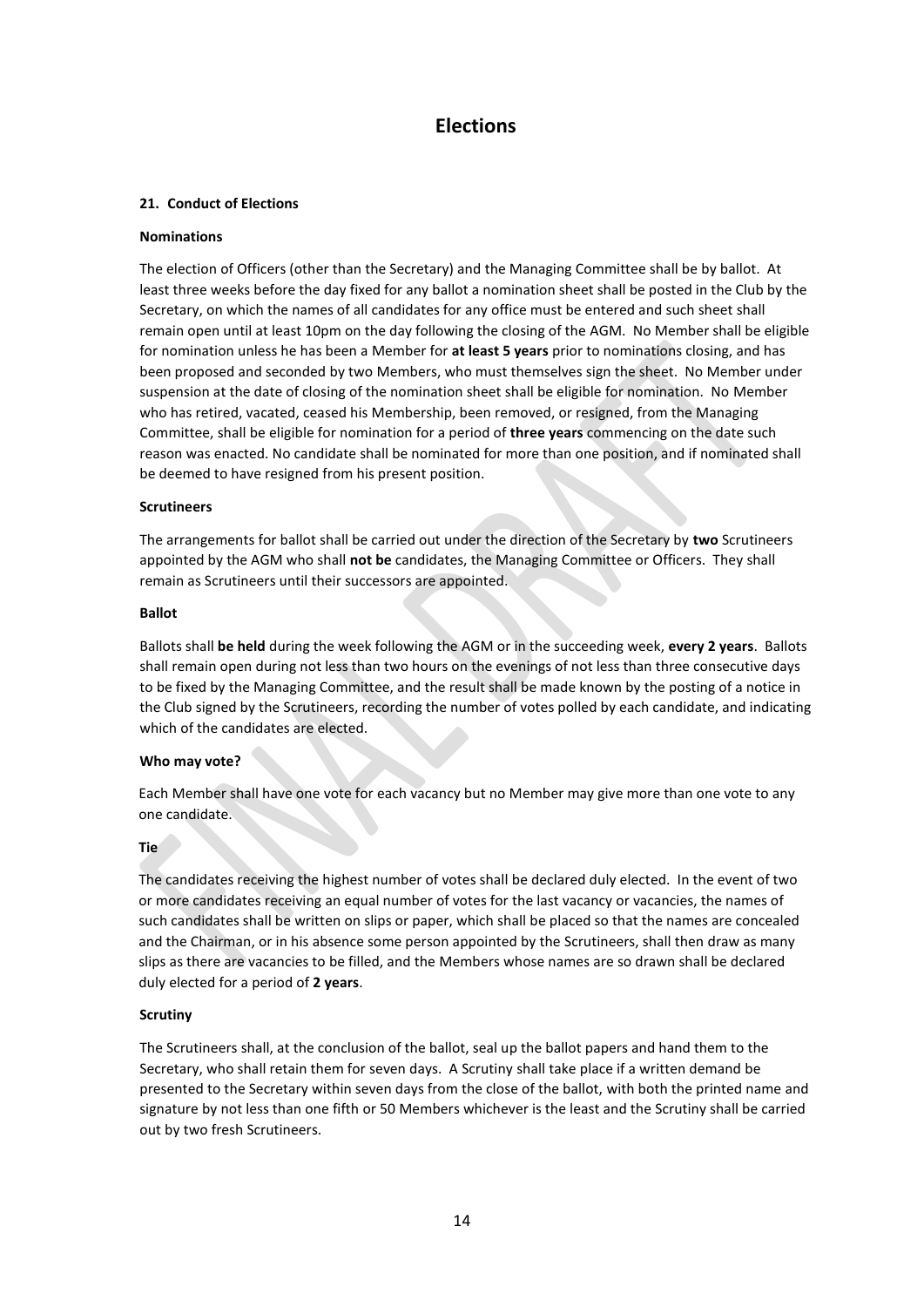### **Elections**

### **21. Conduct of Elections**

### **Nominations**

The election of Officers (other than the Secretary) and the Managing Committee shall be by ballot. At least three weeks before the day fixed for any ballot a nomination sheet shall be posted in the Club by the Secretary, on which the names of all candidates for any office must be entered and such sheet shall remain open until at least 10pm on the day following the closing of the AGM. No Member shall be eligible for nomination unless he has been a Member for **at least 5 years** prior to nominations closing, and has been proposed and seconded by two Members, who must themselves sign the sheet. No Member under suspension at the date of closing of the nomination sheet shall be eligible for nomination. No Member who has retired, vacated, ceased his Membership, been removed, or resigned, from the Managing Committee, shall be eligible for nomination for a period of **three years** commencing on the date such reason was enacted. No candidate shall be nominated for more than one position, and if nominated shall be deemed to have resigned from his present position.

### **Scrutineers**

The arrangements for ballot shall be carried out under the direction of the Secretary by **two** Scrutineers appointed by the AGM who shall **not be** candidates, the Managing Committee or Officers. They shall remain as Scrutineers until their successors are appointed.

### **Ballot**

Ballots shall **be held** during the week following the AGM or in the succeeding week, **every 2 years**. Ballots shall remain open during not less than two hours on the evenings of not less than three consecutive days to be fixed by the Managing Committee, and the result shall be made known by the posting of a notice in the Club signed by the Scrutineers, recording the number of votes polled by each candidate, and indicating which of the candidates are elected.

### **Who may vote?**

Each Member shall have one vote for each vacancy but no Member may give more than one vote to any one candidate.

### **Tie**

The candidates receiving the highest number of votes shall be declared duly elected. In the event of two or more candidates receiving an equal number of votes for the last vacancy or vacancies, the names of such candidates shall be written on slips or paper, which shall be placed so that the names are concealed and the Chairman, or in his absence some person appointed by the Scrutineers, shall then draw as many slips as there are vacancies to be filled, and the Members whose names are so drawn shall be declared duly elected for a period of **2 years**.

### **Scrutiny**

The Scrutineers shall, at the conclusion of the ballot, seal up the ballot papers and hand them to the Secretary, who shall retain them for seven days. A Scrutiny shall take place if a written demand be presented to the Secretary within seven days from the close of the ballot, with both the printed name and signature by not less than one fifth or 50 Members whichever is the least and the Scrutiny shall be carried out by two fresh Scrutineers.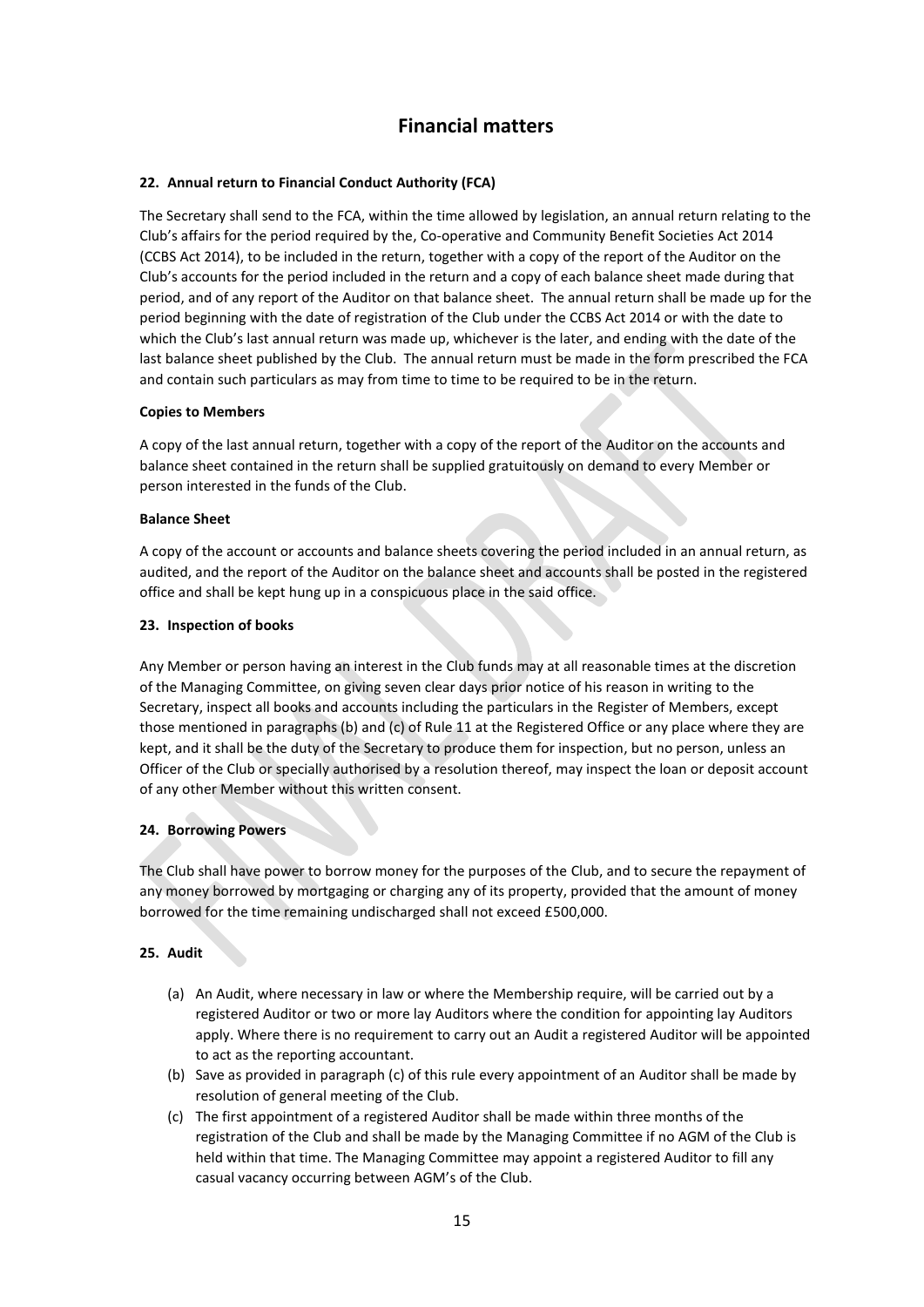### **Financial matters**

### **22. Annual return to Financial Conduct Authority (FCA)**

The Secretary shall send to the FCA, within the time allowed by legislation, an annual return relating to the Club's affairs for the period required by the, Co-operative and Community Benefit Societies Act 2014 (CCBS Act 2014), to be included in the return, together with a copy of the report of the Auditor on the Club's accounts for the period included in the return and a copy of each balance sheet made during that period, and of any report of the Auditor on that balance sheet. The annual return shall be made up for the period beginning with the date of registration of the Club under the CCBS Act 2014 or with the date to which the Club's last annual return was made up, whichever is the later, and ending with the date of the last balance sheet published by the Club. The annual return must be made in the form prescribed the FCA and contain such particulars as may from time to time to be required to be in the return.

### **Copies to Members**

A copy of the last annual return, together with a copy of the report of the Auditor on the accounts and balance sheet contained in the return shall be supplied gratuitously on demand to every Member or person interested in the funds of the Club.

### **Balance Sheet**

A copy of the account or accounts and balance sheets covering the period included in an annual return, as audited, and the report of the Auditor on the balance sheet and accounts shall be posted in the registered office and shall be kept hung up in a conspicuous place in the said office.

### **23. Inspection of books**

Any Member or person having an interest in the Club funds may at all reasonable times at the discretion of the Managing Committee, on giving seven clear days prior notice of his reason in writing to the Secretary, inspect all books and accounts including the particulars in the Register of Members, except those mentioned in paragraphs (b) and (c) of Rule 11 at the Registered Office or any place where they are kept, and it shall be the duty of the Secretary to produce them for inspection, but no person, unless an Officer of the Club or specially authorised by a resolution thereof, may inspect the loan or deposit account of any other Member without this written consent.

### **24. Borrowing Powers**

The Club shall have power to borrow money for the purposes of the Club, and to secure the repayment of any money borrowed by mortgaging or charging any of its property, provided that the amount of money borrowed for the time remaining undischarged shall not exceed £500,000.

### **25. Audit**

- (a) An Audit, where necessary in law or where the Membership require, will be carried out by a registered Auditor or two or more lay Auditors where the condition for appointing lay Auditors apply. Where there is no requirement to carry out an Audit a registered Auditor will be appointed to act as the reporting accountant.
- (b) Save as provided in paragraph (c) of this rule every appointment of an Auditor shall be made by resolution of general meeting of the Club.
- (c) The first appointment of a registered Auditor shall be made within three months of the registration of the Club and shall be made by the Managing Committee if no AGM of the Club is held within that time. The Managing Committee may appoint a registered Auditor to fill any casual vacancy occurring between AGM's of the Club.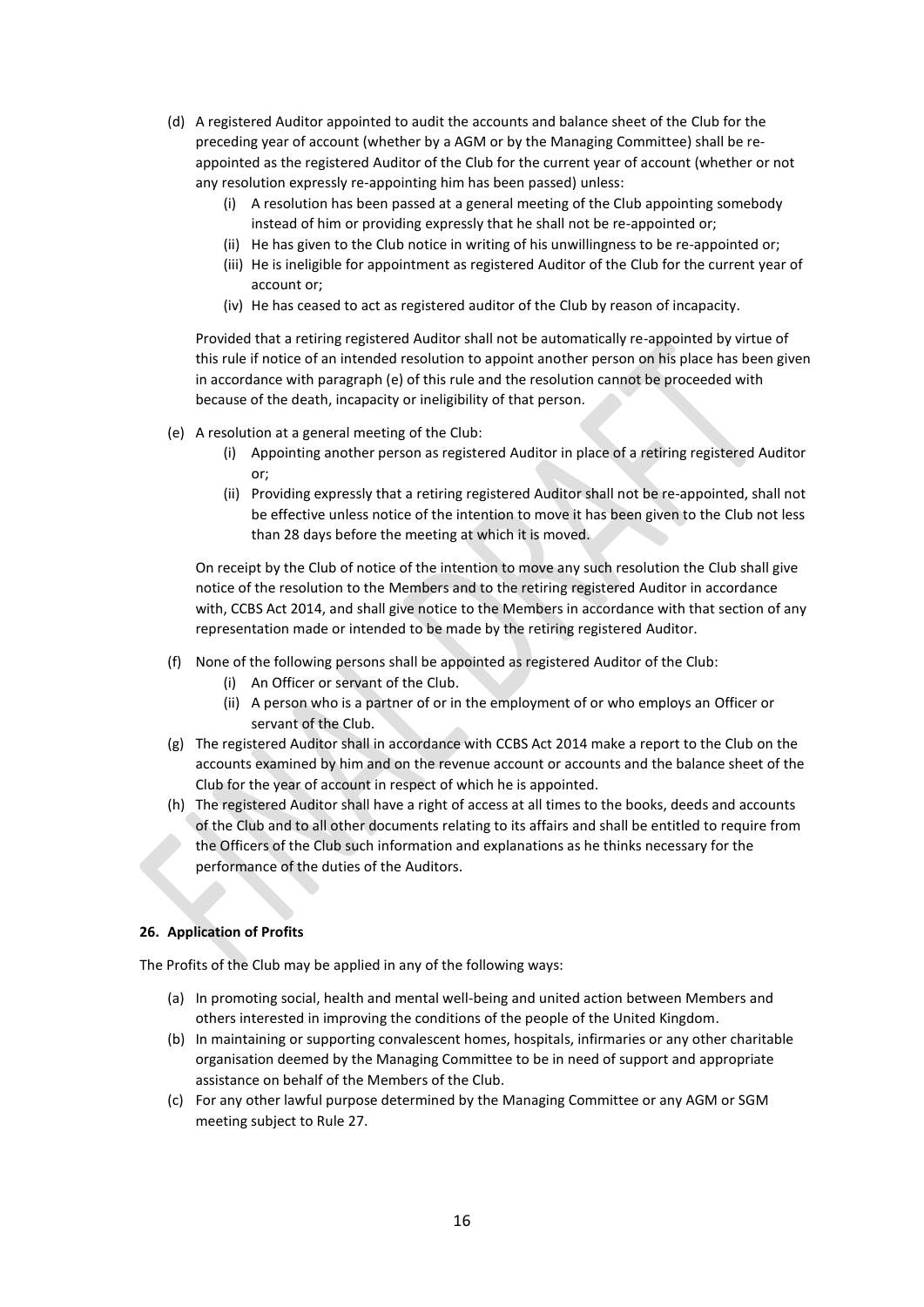- (d) A registered Auditor appointed to audit the accounts and balance sheet of the Club for the preceding year of account (whether by a AGM or by the Managing Committee) shall be reappointed as the registered Auditor of the Club for the current year of account (whether or not any resolution expressly re-appointing him has been passed) unless:
	- (i) A resolution has been passed at a general meeting of the Club appointing somebody instead of him or providing expressly that he shall not be re-appointed or;
	- (ii) He has given to the Club notice in writing of his unwillingness to be re-appointed or;
	- (iii) He is ineligible for appointment as registered Auditor of the Club for the current year of account or;
	- (iv) He has ceased to act as registered auditor of the Club by reason of incapacity.

Provided that a retiring registered Auditor shall not be automatically re-appointed by virtue of this rule if notice of an intended resolution to appoint another person on his place has been given in accordance with paragraph (e) of this rule and the resolution cannot be proceeded with because of the death, incapacity or ineligibility of that person.

- (e) A resolution at a general meeting of the Club:
	- (i) Appointing another person as registered Auditor in place of a retiring registered Auditor or;
	- (ii) Providing expressly that a retiring registered Auditor shall not be re-appointed, shall not be effective unless notice of the intention to move it has been given to the Club not less than 28 days before the meeting at which it is moved.

On receipt by the Club of notice of the intention to move any such resolution the Club shall give notice of the resolution to the Members and to the retiring registered Auditor in accordance with, CCBS Act 2014, and shall give notice to the Members in accordance with that section of any representation made or intended to be made by the retiring registered Auditor.

- (f) None of the following persons shall be appointed as registered Auditor of the Club:
	- (i) An Officer or servant of the Club.
	- (ii) A person who is a partner of or in the employment of or who employs an Officer or servant of the Club.
- (g) The registered Auditor shall in accordance with CCBS Act 2014 make a report to the Club on the accounts examined by him and on the revenue account or accounts and the balance sheet of the Club for the year of account in respect of which he is appointed.
- (h) The registered Auditor shall have a right of access at all times to the books, deeds and accounts of the Club and to all other documents relating to its affairs and shall be entitled to require from the Officers of the Club such information and explanations as he thinks necessary for the performance of the duties of the Auditors.

### **26. Application of Profits**

The Profits of the Club may be applied in any of the following ways:

- (a) In promoting social, health and mental well-being and united action between Members and others interested in improving the conditions of the people of the United Kingdom.
- (b) In maintaining or supporting convalescent homes, hospitals, infirmaries or any other charitable organisation deemed by the Managing Committee to be in need of support and appropriate assistance on behalf of the Members of the Club.
- (c) For any other lawful purpose determined by the Managing Committee or any AGM or SGM meeting subject to Rule 27.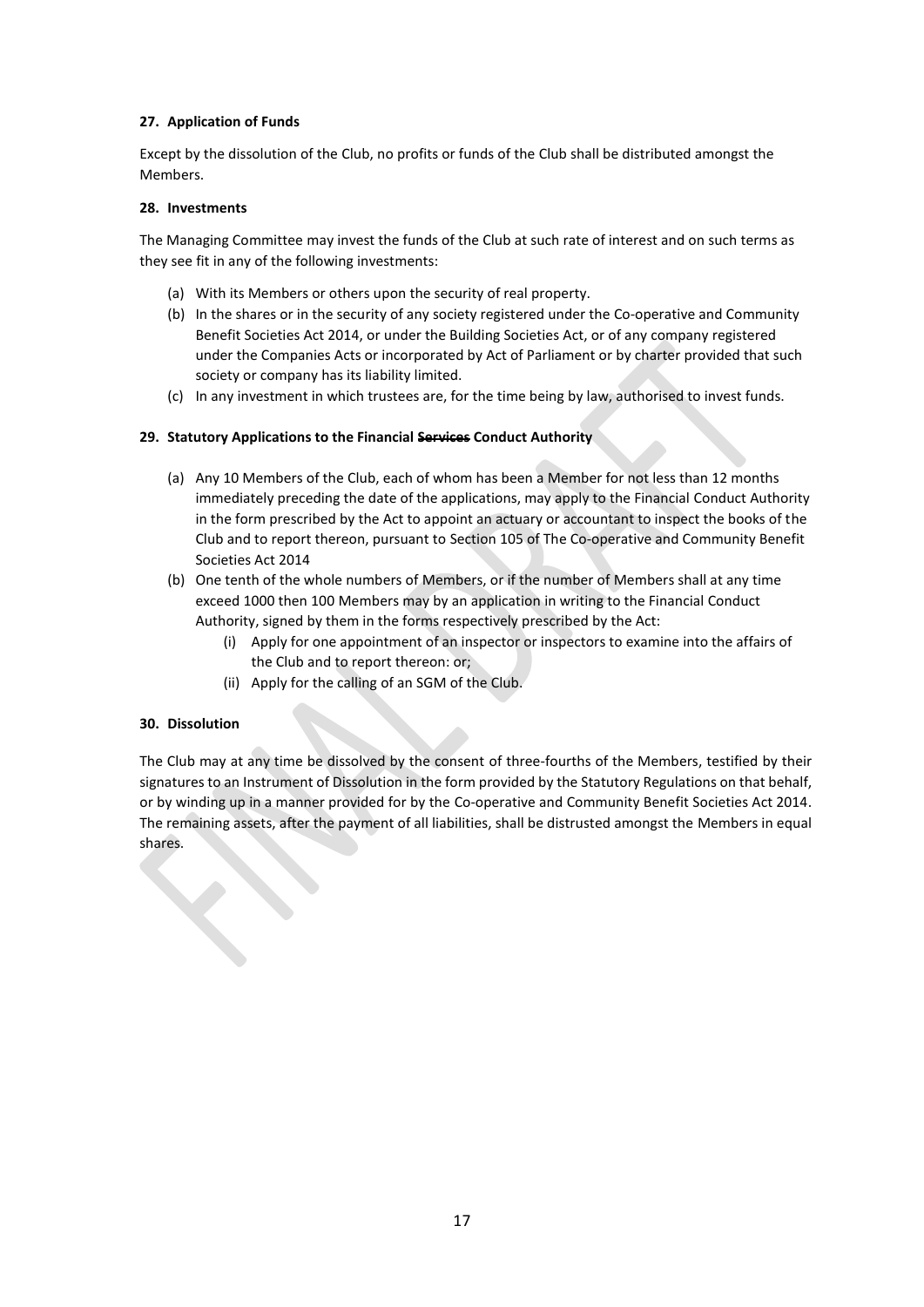### **27. Application of Funds**

Except by the dissolution of the Club, no profits or funds of the Club shall be distributed amongst the Members.

### **28. Investments**

The Managing Committee may invest the funds of the Club at such rate of interest and on such terms as they see fit in any of the following investments:

- (a) With its Members or others upon the security of real property.
- (b) In the shares or in the security of any society registered under the Co-operative and Community Benefit Societies Act 2014, or under the Building Societies Act, or of any company registered under the Companies Acts or incorporated by Act of Parliament or by charter provided that such society or company has its liability limited.
- (c) In any investment in which trustees are, for the time being by law, authorised to invest funds.

### **29. Statutory Applications to the Financial Services Conduct Authority**

- (a) Any 10 Members of the Club, each of whom has been a Member for not less than 12 months immediately preceding the date of the applications, may apply to the Financial Conduct Authority in the form prescribed by the Act to appoint an actuary or accountant to inspect the books of the Club and to report thereon, pursuant to Section 105 of The Co-operative and Community Benefit Societies Act 2014
- (b) One tenth of the whole numbers of Members, or if the number of Members shall at any time exceed 1000 then 100 Members may by an application in writing to the Financial Conduct Authority, signed by them in the forms respectively prescribed by the Act:
	- (i) Apply for one appointment of an inspector or inspectors to examine into the affairs of the Club and to report thereon: or;
	- (ii) Apply for the calling of an SGM of the Club.

### **30. Dissolution**

 $\left\langle \cdot \right\rangle$ 

The Club may at any time be dissolved by the consent of three-fourths of the Members, testified by their signatures to an Instrument of Dissolution in the form provided by the Statutory Regulations on that behalf, or by winding up in a manner provided for by the Co-operative and Community Benefit Societies Act 2014. The remaining assets, after the payment of all liabilities, shall be distrusted amongst the Members in equal shares.